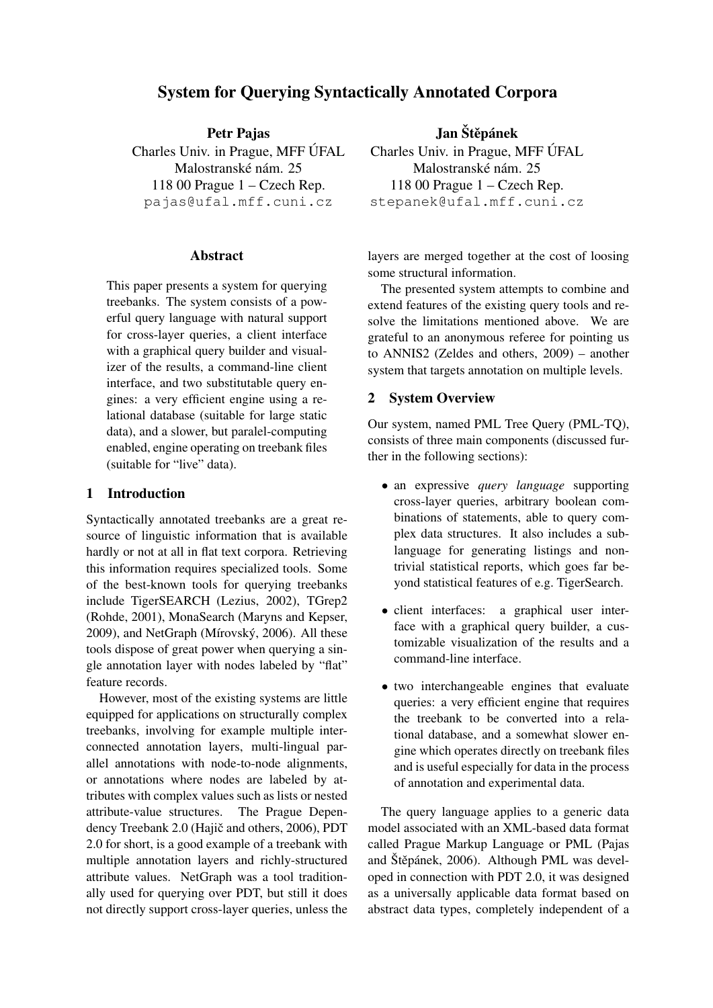# System for Querying Syntactically Annotated Corpora

Petr Pajas Charles Univ. in Prague, MFF ÚFAL Malostranské nám. 25 118 00 Prague 1 – Czech Rep. pajas@ufal.mff.cuni.cz

### Abstract

This paper presents a system for querying treebanks. The system consists of a powerful query language with natural support for cross-layer queries, a client interface with a graphical query builder and visualizer of the results, a command-line client interface, and two substitutable query engines: a very efficient engine using a relational database (suitable for large static data), and a slower, but paralel-computing enabled, engine operating on treebank files (suitable for "live" data).

### 1 Introduction

Syntactically annotated treebanks are a great resource of linguistic information that is available hardly or not at all in flat text corpora. Retrieving this information requires specialized tools. Some of the best-known tools for querying treebanks include TigerSEARCH (Lezius, 2002), TGrep2 (Rohde, 2001), MonaSearch (Maryns and Kepser, 2009), and NetGraph (Mírovský, 2006). All these tools dispose of great power when querying a single annotation layer with nodes labeled by "flat" feature records.

However, most of the existing systems are little equipped for applications on structurally complex treebanks, involving for example multiple interconnected annotation layers, multi-lingual parallel annotations with node-to-node alignments, or annotations where nodes are labeled by attributes with complex values such as lists or nested attribute-value structures. The Prague Dependency Treebank 2.0 (Hajič and others, 2006), PDT 2.0 for short, is a good example of a treebank with multiple annotation layers and richly-structured attribute values. NetGraph was a tool traditionally used for querying over PDT, but still it does not directly support cross-layer queries, unless the

Jan Štěpánek Charles Univ. in Prague, MFF ÚFAL Malostranské nám. 25 118 00 Prague 1 – Czech Rep. stepanek@ufal.mff.cuni.cz

layers are merged together at the cost of loosing some structural information.

The presented system attempts to combine and extend features of the existing query tools and resolve the limitations mentioned above. We are grateful to an anonymous referee for pointing us to ANNIS2 (Zeldes and others, 2009) – another system that targets annotation on multiple levels.

### 2 System Overview

Our system, named PML Tree Query (PML-TQ), consists of three main components (discussed further in the following sections):

- an expressive *query language* supporting cross-layer queries, arbitrary boolean combinations of statements, able to query complex data structures. It also includes a sublanguage for generating listings and nontrivial statistical reports, which goes far beyond statistical features of e.g. TigerSearch.
- client interfaces: a graphical user interface with a graphical query builder, a customizable visualization of the results and a command-line interface.
- two interchangeable engines that evaluate queries: a very efficient engine that requires the treebank to be converted into a relational database, and a somewhat slower engine which operates directly on treebank files and is useful especially for data in the process of annotation and experimental data.

The query language applies to a generic data model associated with an XML-based data format called Prague Markup Language or PML (Pajas and Štěpánek, 2006). Although PML was developed in connection with PDT 2.0, it was designed as a universally applicable data format based on abstract data types, completely independent of a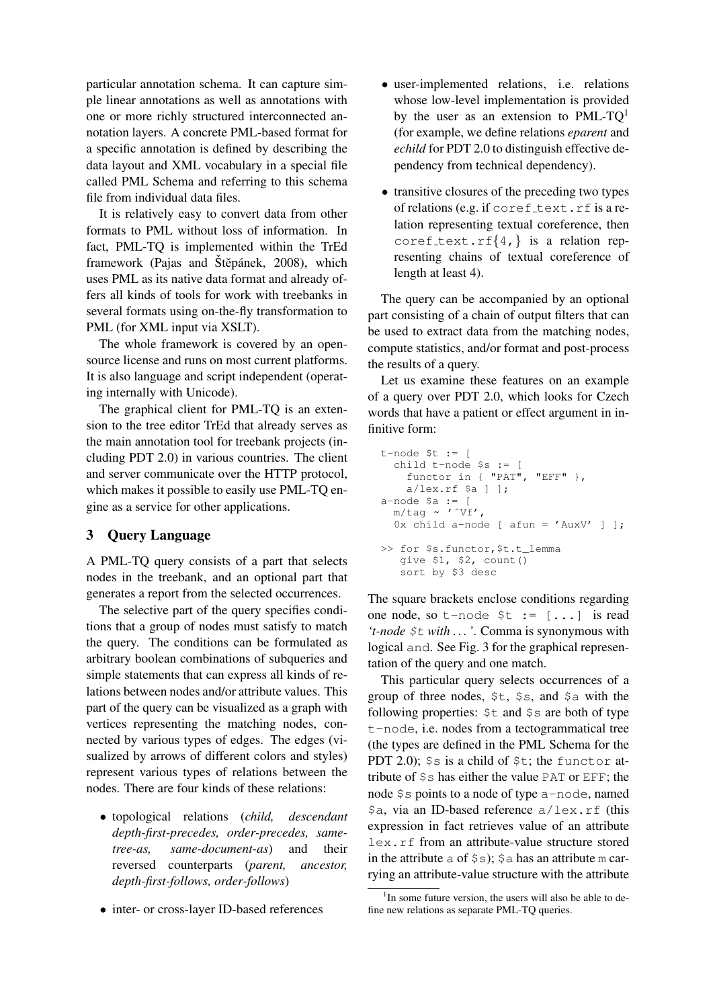particular annotation schema. It can capture simple linear annotations as well as annotations with one or more richly structured interconnected annotation layers. A concrete PML-based format for a specific annotation is defined by describing the data layout and XML vocabulary in a special file called PML Schema and referring to this schema file from individual data files.

It is relatively easy to convert data from other formats to PML without loss of information. In fact, PML-TQ is implemented within the TrEd framework (Pajas and Štěpánek, 2008), which uses PML as its native data format and already offers all kinds of tools for work with treebanks in several formats using on-the-fly transformation to PML (for XML input via XSLT).

The whole framework is covered by an opensource license and runs on most current platforms. It is also language and script independent (operating internally with Unicode).

The graphical client for PML-TQ is an extension to the tree editor TrEd that already serves as the main annotation tool for treebank projects (including PDT 2.0) in various countries. The client and server communicate over the HTTP protocol, which makes it possible to easily use PML-TQ engine as a service for other applications.

## 3 Query Language

A PML-TQ query consists of a part that selects nodes in the treebank, and an optional part that generates a report from the selected occurrences.

The selective part of the query specifies conditions that a group of nodes must satisfy to match the query. The conditions can be formulated as arbitrary boolean combinations of subqueries and simple statements that can express all kinds of relations between nodes and/or attribute values. This part of the query can be visualized as a graph with vertices representing the matching nodes, connected by various types of edges. The edges (visualized by arrows of different colors and styles) represent various types of relations between the nodes. There are four kinds of these relations:

- topological relations (*child, descendant depth-first-precedes, order-precedes, sametree-as, same-document-as*) and their reversed counterparts (*parent, ancestor, depth-first-follows, order-follows*)
- inter- or cross-layer ID-based references
- user-implemented relations, i.e. relations whose low-level implementation is provided by the user as an extension to  $PML-TO<sup>1</sup>$ (for example, we define relations *eparent* and *echild* for PDT 2.0 to distinguish effective dependency from technical dependency).
- transitive closures of the preceding two types of relations (e.g. if coref text.rf is a relation representing textual coreference, then coref text.rf $\{4, \}$  is a relation representing chains of textual coreference of length at least 4).

The query can be accompanied by an optional part consisting of a chain of output filters that can be used to extract data from the matching nodes, compute statistics, and/or format and post-process the results of a query.

Let us examine these features on an example of a query over PDT 2.0, which looks for Czech words that have a patient or effect argument in infinitive form:

```
t-node $t := [
  child t-node $s := [
    functor in { "PAT", "EFF" },
    a/lex.rf $a ] ];
a-node $a := [
  m/tag \sim '^{\wedge}Vf',0x child a-node [ afun = 'AuxV' ] ];
>> for $s.functor,$t.t_lemma
   give $1, $2, count()
   sort by $3 desc
```
The square brackets enclose conditions regarding one node, so t-node \$t := [...] is read *'t-node* \$t *with . . . '*. Comma is synonymous with logical and. See Fig. 3 for the graphical representation of the query and one match.

This particular query selects occurrences of a group of three nodes, \$t, \$s, and \$a with the following properties:  $$t$  and  $$s$  are both of type t-node, i.e. nodes from a tectogrammatical tree (the types are defined in the PML Schema for the PDT 2.0);  $\frac{1}{5}$  is a child of  $\frac{1}{5}$ t; the functor attribute of \$s has either the value PAT or EFF; the node \$s points to a node of type a-node, named \$a, via an ID-based reference a/lex.rf (this expression in fact retrieves value of an attribute lex.rf from an attribute-value structure stored in the attribute a of  $\sin$ ;  $\sin$  has an attribute m carrying an attribute-value structure with the attribute

<sup>&</sup>lt;sup>1</sup>In some future version, the users will also be able to define new relations as separate PML-TQ queries.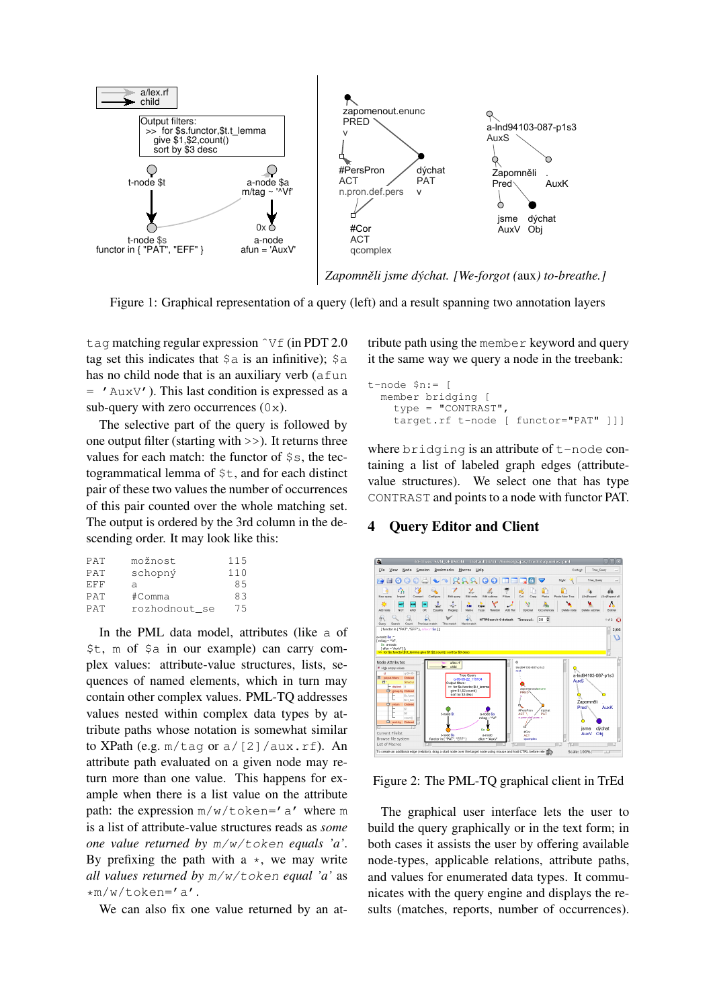

Zapomněli jsme dýchat. [We-forgot (aux) to-breathe.]

Figure 1: Graphical representation of a query (left) and a result spanning two annotation layers

taq matching regular expression  $\gamma f$  (in PDT 2.0 tag set this indicates that  $\frac{1}{2}$  a is an infinitive);  $\frac{1}{2}$  a has no child node that is an auxiliary verb (afun  $=$  'AuxV'). This last condition is expressed as a sub-query with zero occurrences  $(0x)$ .

The selective part of the query is followed by one output filter (starting with >>). It returns three values for each match: the functor of S<sub>S</sub>, the tectogrammatical lemma of \$t, and for each distinct pair of these two values the number of occurrences of this pair counted over the whole matching set. The output is ordered by the 3rd column in the descending order. It may look like this:

| PAT | možnost       | 115 |
|-----|---------------|-----|
| PAT | schopný       | 110 |
| EFF | a             | 85  |
| PAT | #Comma        | 83  |
| PAT | rozhodnout se | 75  |
|     |               |     |

In the PML data model, attributes (like a of \$t, m of \$a in our example) can carry complex values: attribute-value structures, lists, sequences of named elements, which in turn may contain other complex values. PML-TQ addresses values nested within complex data types by attribute paths whose notation is somewhat similar to XPath (e.g.  $m/\text{tag}$  or  $a/[2]/aux.rf$ ). An attribute path evaluated on a given node may return more than one value. This happens for example when there is a list value on the attribute path: the expression  $m/w/t$  oken=' a' where m is a list of attribute-value structures reads as *some* one value returned by  $m/w/t$ oken equals 'a'. By prefixing the path with a  $\star$ , we may write all values returned by  $m/w/t$ oken equal 'a' as \*m/w/token='a'.

We can also fix one value returned by an at-

tribute path using the member keyword and query it the same way we query a node in the treebank:

```
t-node sn:= [
 member bridging [
    type = "CONTRAST".target.rf t-node [ functor="PAT" ]]]
```
where  $bridging$  is an attribute of  $t$ -node containing a list of labeled graph edges (attributevalue structures). We select one that has type CONTRAST and points to a node with functor PAT.

#### **Query Editor and Client** 4



Figure 2: The PML-TQ graphical client in TrEd

The graphical user interface lets the user to build the query graphically or in the text form; in both cases it assists the user by offering available node-types, applicable relations, attribute paths, and values for enumerated data types. It communicates with the query engine and displays the results (matches, reports, number of occurrences).